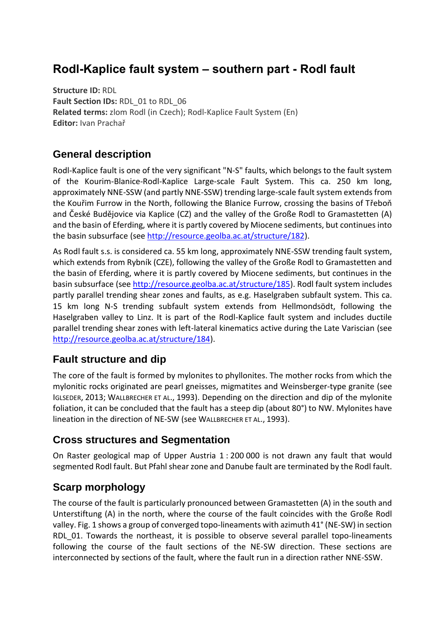# **Rodl-Kaplice fault system – southern part - Rodl fault**

**Structure ID:** RDL **Fault Section IDs:** RDL\_01 to RDL\_06 **Related terms:** zlom Rodl (in Czech); Rodl-Kaplice Fault System (En) **Editor:** Ivan Prachař

## **General description**

Rodl-Kaplice fault is one of the very significant "N-S" faults, which belongs to the fault system of the Kourim-Blanice-Rodl-Kaplice Large-scale Fault System. This ca. 250 km long, approximately NNE-SSW (and partly NNE-SSW) trending large-scale fault system extends from the Kouřim Furrow in the North, following the Blanice Furrow, crossing the basins of Třeboň and České Budějovice via Kaplice (CZ) and the valley of the Große Rodl to Gramastetten (A) and the basin of Eferding, where it is partly covered by Miocene sediments, but continues into the basin subsurface (see [http://resource.geolba.ac.at/structure/182\)](http://resource.geolba.ac.at/structure/182).

As Rodl fault s.s. is considered ca. 55 km long, approximately NNE-SSW trending fault system, which extends from Rybník (CZE), following the valley of the Große Rodl to Gramastetten and the basin of Eferding, where it is partly covered by Miocene sediments, but continues in the basin subsurface (see [http://resource.geolba.ac.at/structure/185\)](http://resource.geolba.ac.at/structure/185). Rodl fault system includes partly parallel trending shear zones and faults, as e.g. Haselgraben subfault system. This ca. 15 km long N-S trending subfault system extends from Hellmondsödt, following the Haselgraben valley to Linz. It is part of the Rodl-Kaplice fault system and includes ductile parallel trending shear zones with left-lateral kinematics active during the Late Variscian (see [http://resource.geolba.ac.at/structure/184\)](http://resource.geolba.ac.at/structure/184).

## **Fault structure and dip**

The core of the fault is formed by mylonites to phyllonites. The mother rocks from which the mylonitic rocks originated are pearl gneisses, migmatites and Weinsberger-type granite (see IGLSEDER, 2013; WALLBRECHER ET AL., 1993). Depending on the direction and dip of the mylonite foliation, it can be concluded that the fault has a steep dip (about 80°) to NW. Mylonites have lineation in the direction of NE-SW (see WALLBRECHER ET AL., 1993).

## **Cross structures and Segmentation**

On Raster geological map of Upper Austria 1 : 200 000 is not drawn any fault that would segmented Rodl fault. But Pfahl shear zone and Danube fault are terminated by the Rodl fault.

# **Scarp morphology**

The course of the fault is particularly pronounced between Gramastetten (A) in the south and Unterstiftung (A) in the north, where the course of the fault coincides with the Große Rodl valley. Fig. 1 shows a group of converged topo-lineaments with azimuth 41° (NE-SW) in section RDL\_01. Towards the northeast, it is possible to observe several parallel topo-lineaments following the course of the fault sections of the NE-SW direction. These sections are interconnected by sections of the fault, where the fault run in a direction rather NNE-SSW.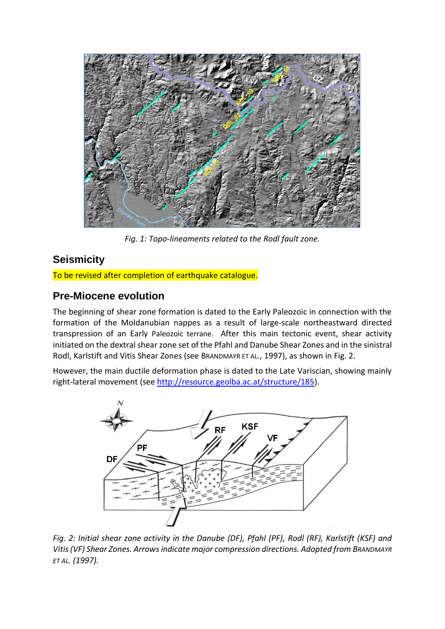

*Fig. 1: Topo-lineaments related to the Rodl fault zone.*

# **Seismicity**

To be revised after completion of earthquake catalogue.

## **Pre-Miocene evolution**

The beginning of shear zone formation is dated to the Early Paleozoic in connection with the formation of the Moldanubian nappes as a result of large-scale northeastward directed transpression of an Early Paleozoic terrane. After this main tectonic event, shear activity initiated on the dextral shear zone set of the Pfahl and Danube Shear Zones and in the sinistral Rodl, Karlstift and Vitis Shear Zones (see BRANDMAYR ET AL., 1997), as shown in Fig. 2.

However, the main ductile deformation phase is dated to the Late Variscian, showing mainly right-lateral movement (see [http://resource.geolba.ac.at/structure/185\)](http://resource.geolba.ac.at/structure/185).



*Fig. 2: Initial shear zone activity in the Danube (DF), Pfahl (PF), Rodl (RF), Karlstift (KSF) and Vitis (VF) Shear Zones. Arrows indicate major compression directions. Adopted from BRANDMAYR ET AL. (1997).*